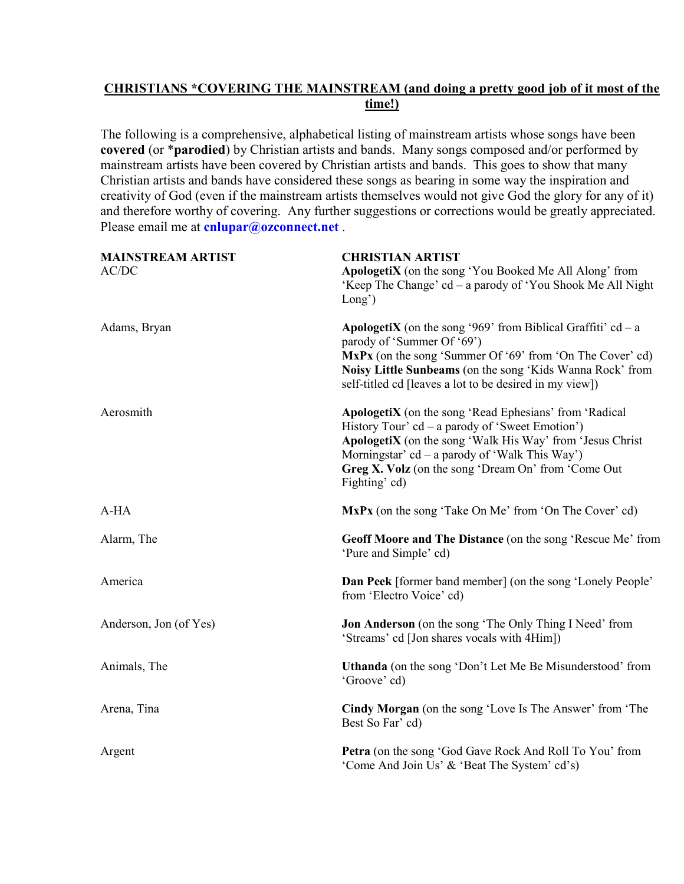## **CHRISTIANS \*COVERING THE MAINSTREAM (and doing a pretty good job of it most of the time!)**

The following is a comprehensive, alphabetical listing of mainstream artists whose songs have been **covered** (or \***parodied**) by Christian artists and bands. Many songs composed and/or performed by mainstream artists have been covered by Christian artists and bands. This goes to show that many Christian artists and bands have considered these songs as bearing in some way the inspiration and creativity of God (even if the mainstream artists themselves would not give God the glory for any of it) and therefore worthy of covering. Any further suggestions or corrections would be greatly appreciated. Please email me at **[cnlupar@ozconnect.net](mailto:cnlupar@ozconnect.net)** .

| <b>MAINSTREAM ARTIST</b><br>AC/DC | <b>CHRISTIAN ARTIST</b><br>ApologetiX (on the song 'You Booked Me All Along' from<br>'Keep The Change' cd – a parody of 'You Shook Me All Night<br>Long')                                                                                                                                          |
|-----------------------------------|----------------------------------------------------------------------------------------------------------------------------------------------------------------------------------------------------------------------------------------------------------------------------------------------------|
| Adams, Bryan                      | <b>ApologetiX</b> (on the song '969' from Biblical Graffiti' $cd - a$<br>parody of 'Summer Of '69')<br>MxPx (on the song 'Summer Of '69' from 'On The Cover' cd)<br>Noisy Little Sunbeams (on the song 'Kids Wanna Rock' from<br>self-titled cd [leaves a lot to be desired in my view])           |
| Aerosmith                         | ApologetiX (on the song 'Read Ephesians' from 'Radical<br>History Tour' $cd - a$ parody of 'Sweet Emotion')<br>ApologetiX (on the song 'Walk His Way' from 'Jesus Christ<br>Morningstar' cd – a parody of 'Walk This Way')<br>Greg X. Volz (on the song 'Dream On' from 'Come Out<br>Fighting' cd) |
| A-HA                              | MxPx (on the song 'Take On Me' from 'On The Cover' cd)                                                                                                                                                                                                                                             |
| Alarm, The                        | Geoff Moore and The Distance (on the song 'Rescue Me' from<br>'Pure and Simple' cd)                                                                                                                                                                                                                |
| America                           | Dan Peek [former band member] (on the song 'Lonely People'<br>from 'Electro Voice' cd)                                                                                                                                                                                                             |
| Anderson, Jon (of Yes)            | <b>Jon Anderson</b> (on the song 'The Only Thing I Need' from<br>'Streams' cd [Jon shares vocals with 4Him])                                                                                                                                                                                       |
| Animals, The                      | <b>Uthanda</b> (on the song 'Don't Let Me Be Misunderstood' from<br>'Groove' cd)                                                                                                                                                                                                                   |
| Arena, Tina                       | <b>Cindy Morgan</b> (on the song 'Love Is The Answer' from 'The<br>Best So Far' cd)                                                                                                                                                                                                                |
| Argent                            | Petra (on the song 'God Gave Rock And Roll To You' from<br>'Come And Join Us' & 'Beat The System' cd's)                                                                                                                                                                                            |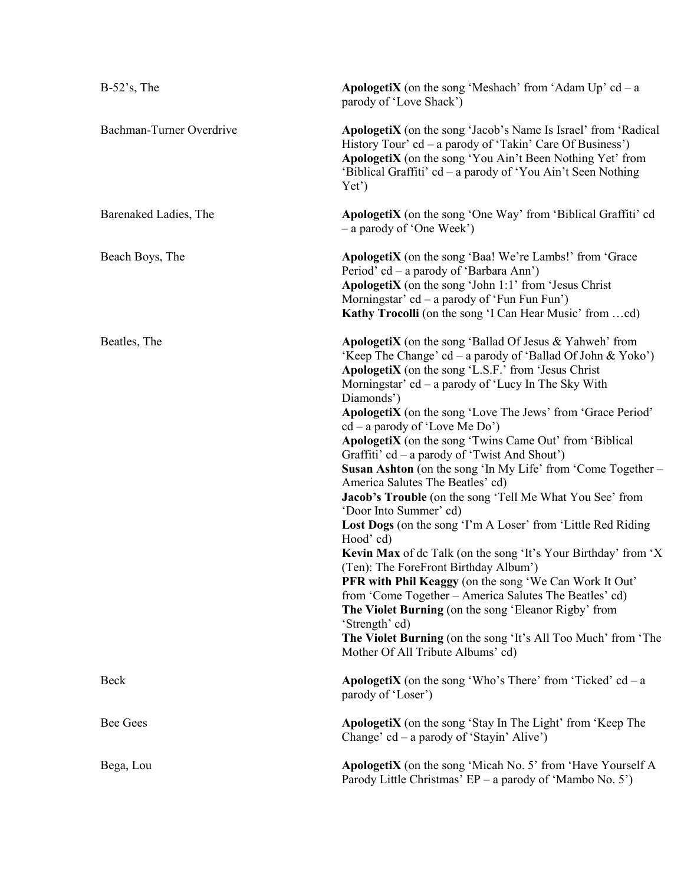| $B-52$ 's, The           | ApologetiX (on the song 'Meshach' from 'Adam Up' $cd - a$<br>parody of 'Love Shack')                                                                                                                                                                                                                                                                                                                                                                                                                                                                                                                                                                                                                                                                                                                                                                                                                                                                                                                                                                                                                                                                             |
|--------------------------|------------------------------------------------------------------------------------------------------------------------------------------------------------------------------------------------------------------------------------------------------------------------------------------------------------------------------------------------------------------------------------------------------------------------------------------------------------------------------------------------------------------------------------------------------------------------------------------------------------------------------------------------------------------------------------------------------------------------------------------------------------------------------------------------------------------------------------------------------------------------------------------------------------------------------------------------------------------------------------------------------------------------------------------------------------------------------------------------------------------------------------------------------------------|
| Bachman-Turner Overdrive | ApologetiX (on the song 'Jacob's Name Is Israel' from 'Radical<br>History Tour' cd – a parody of 'Takin' Care Of Business')<br>ApologetiX (on the song 'You Ain't Been Nothing Yet' from<br>'Biblical Graffiti' cd – a parody of 'You Ain't Seen Nothing<br>Yet')                                                                                                                                                                                                                                                                                                                                                                                                                                                                                                                                                                                                                                                                                                                                                                                                                                                                                                |
| Barenaked Ladies, The    | ApologetiX (on the song 'One Way' from 'Biblical Graffiti' cd<br>- a parody of 'One Week')                                                                                                                                                                                                                                                                                                                                                                                                                                                                                                                                                                                                                                                                                                                                                                                                                                                                                                                                                                                                                                                                       |
| Beach Boys, The          | ApologetiX (on the song 'Baa! We're Lambs!' from 'Grace<br>Period' cd – a parody of 'Barbara Ann')<br>ApologetiX (on the song 'John 1:1' from 'Jesus Christ<br>Morningstar' cd – a parody of 'Fun Fun Fun')<br><b>Kathy Trocolli</b> (on the song 'I Can Hear Music' from cd)                                                                                                                                                                                                                                                                                                                                                                                                                                                                                                                                                                                                                                                                                                                                                                                                                                                                                    |
| Beatles, The             | ApologetiX (on the song 'Ballad Of Jesus & Yahweh' from<br>'Keep The Change' cd – a parody of 'Ballad Of John & Yoko')<br>ApologetiX (on the song 'L.S.F.' from 'Jesus Christ<br>Morningstar' $cd - a$ parody of 'Lucy In The Sky With<br>Diamonds')<br>ApologetiX (on the song 'Love The Jews' from 'Grace Period'<br>$cd - a$ parody of 'Love Me Do')<br>ApologetiX (on the song 'Twins Came Out' from 'Biblical<br>Graffiti' cd – a parody of 'Twist And Shout')<br>Susan Ashton (on the song 'In My Life' from 'Come Together -<br>America Salutes The Beatles' cd)<br>Jacob's Trouble (on the song 'Tell Me What You See' from<br>'Door Into Summer' cd)<br>Lost Dogs (on the song 'I'm A Loser' from 'Little Red Riding<br>Hood' cd)<br><b>Kevin Max</b> of dc Talk (on the song 'It's Your Birthday' from 'X<br>(Ten): The ForeFront Birthday Album')<br>PFR with Phil Keaggy (on the song 'We Can Work It Out'<br>from 'Come Together – America Salutes The Beatles' cd)<br>The Violet Burning (on the song 'Eleanor Rigby' from<br>'Strength' cd)<br>The Violet Burning (on the song 'It's All Too Much' from 'The<br>Mother Of All Tribute Albums' cd) |
| Beck                     | <b>ApologetiX</b> (on the song 'Who's There' from 'Ticked' $cd - a$<br>parody of 'Loser')                                                                                                                                                                                                                                                                                                                                                                                                                                                                                                                                                                                                                                                                                                                                                                                                                                                                                                                                                                                                                                                                        |
| Bee Gees                 | ApologetiX (on the song 'Stay In The Light' from 'Keep The<br>Change' cd – a parody of 'Stayin' Alive')                                                                                                                                                                                                                                                                                                                                                                                                                                                                                                                                                                                                                                                                                                                                                                                                                                                                                                                                                                                                                                                          |
| Bega, Lou                | ApologetiX (on the song 'Micah No. 5' from 'Have Yourself A<br>Parody Little Christmas' EP – a parody of 'Mambo No. 5')                                                                                                                                                                                                                                                                                                                                                                                                                                                                                                                                                                                                                                                                                                                                                                                                                                                                                                                                                                                                                                          |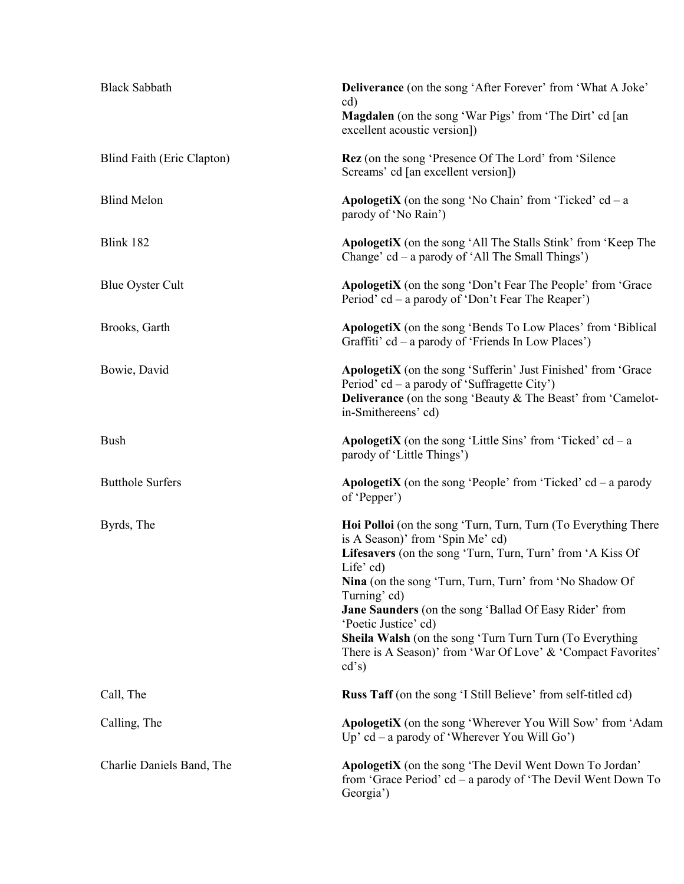| <b>Black Sabbath</b>       | <b>Deliverance</b> (on the song 'After Forever' from 'What A Joke'<br>cd)<br>Magdalen (on the song 'War Pigs' from 'The Dirt' cd [an<br>excellent acoustic version])                                                                                                                                                                                                                                                                                                                   |
|----------------------------|----------------------------------------------------------------------------------------------------------------------------------------------------------------------------------------------------------------------------------------------------------------------------------------------------------------------------------------------------------------------------------------------------------------------------------------------------------------------------------------|
| Blind Faith (Eric Clapton) | <b>Rez</b> (on the song 'Presence Of The Lord' from 'Silence<br>Screams' cd [an excellent version])                                                                                                                                                                                                                                                                                                                                                                                    |
| <b>Blind Melon</b>         | ApologetiX (on the song 'No Chain' from 'Ticked' $cd - a$<br>parody of 'No Rain')                                                                                                                                                                                                                                                                                                                                                                                                      |
| Blink 182                  | ApologetiX (on the song 'All The Stalls Stink' from 'Keep The<br>Change' cd – a parody of 'All The Small Things')                                                                                                                                                                                                                                                                                                                                                                      |
| <b>Blue Oyster Cult</b>    | ApologetiX (on the song 'Don't Fear The People' from 'Grace<br>Period' cd – a parody of 'Don't Fear The Reaper')                                                                                                                                                                                                                                                                                                                                                                       |
| Brooks, Garth              | ApologetiX (on the song 'Bends To Low Places' from 'Biblical<br>Graffiti' cd – a parody of 'Friends In Low Places')                                                                                                                                                                                                                                                                                                                                                                    |
| Bowie, David               | ApologetiX (on the song 'Sufferin' Just Finished' from 'Grace<br>Period' $cd - a$ parody of 'Suffragette City')<br><b>Deliverance</b> (on the song 'Beauty & The Beast' from 'Camelot-<br>in-Smithereens' cd)                                                                                                                                                                                                                                                                          |
| <b>Bush</b>                | ApologetiX (on the song 'Little Sins' from 'Ticked' $cd - a$<br>parody of 'Little Things')                                                                                                                                                                                                                                                                                                                                                                                             |
| <b>Butthole Surfers</b>    | <b>ApologetiX</b> (on the song 'People' from 'Ticked' $cd - a$ parody<br>of 'Pepper')                                                                                                                                                                                                                                                                                                                                                                                                  |
| Byrds, The                 | Hoi Polloi (on the song 'Turn, Turn, Turn (To Everything There<br>is A Season)' from 'Spin Me' cd)<br>Lifesavers (on the song 'Turn, Turn, Turn' from 'A Kiss Of<br>Life' cd)<br>Nina (on the song 'Turn, Turn, Turn' from 'No Shadow Of<br>Turning' cd)<br>Jane Saunders (on the song 'Ballad Of Easy Rider' from<br>'Poetic Justice' cd)<br><b>Sheila Walsh</b> (on the song 'Turn Turn Turn (To Everything<br>There is A Season)' from 'War Of Love' & 'Compact Favorites'<br>cd's) |
| Call, The                  | Russ Taff (on the song 'I Still Believe' from self-titled cd)                                                                                                                                                                                                                                                                                                                                                                                                                          |
| Calling, The               | ApologetiX (on the song 'Wherever You Will Sow' from 'Adam<br>Up' cd – a parody of 'Wherever You Will Go')                                                                                                                                                                                                                                                                                                                                                                             |
| Charlie Daniels Band, The  | ApologetiX (on the song 'The Devil Went Down To Jordan'<br>from 'Grace Period' cd – a parody of 'The Devil Went Down To<br>Georgia <sup>'</sup> )                                                                                                                                                                                                                                                                                                                                      |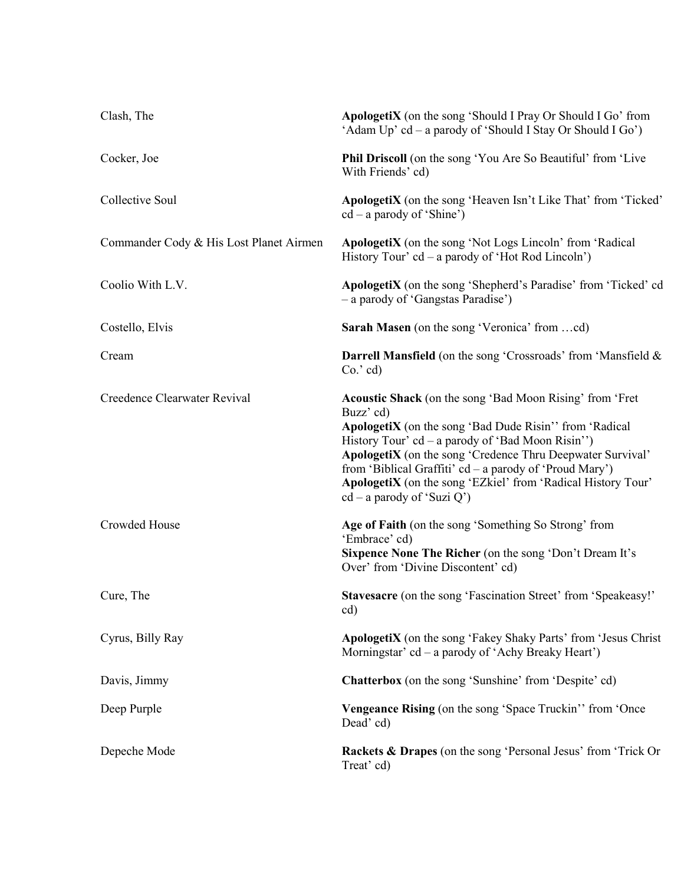| Clash, The                              | ApologetiX (on the song 'Should I Pray Or Should I Go' from<br>'Adam Up' cd – a parody of 'Should I Stay Or Should I Go')                                                                                                                                                                                                                                                                                             |
|-----------------------------------------|-----------------------------------------------------------------------------------------------------------------------------------------------------------------------------------------------------------------------------------------------------------------------------------------------------------------------------------------------------------------------------------------------------------------------|
| Cocker, Joe                             | <b>Phil Driscoll</b> (on the song 'You Are So Beautiful' from 'Live<br>With Friends' cd)                                                                                                                                                                                                                                                                                                                              |
| Collective Soul                         | ApologetiX (on the song 'Heaven Isn't Like That' from 'Ticked'<br>$cd - a$ parody of 'Shine')                                                                                                                                                                                                                                                                                                                         |
| Commander Cody & His Lost Planet Airmen | ApologetiX (on the song 'Not Logs Lincoln' from 'Radical<br>History Tour' cd – a parody of 'Hot Rod Lincoln')                                                                                                                                                                                                                                                                                                         |
| Coolio With L.V.                        | ApologetiX (on the song 'Shepherd's Paradise' from 'Ticked' cd<br>- a parody of 'Gangstas Paradise')                                                                                                                                                                                                                                                                                                                  |
| Costello, Elvis                         | <b>Sarah Masen</b> (on the song 'Veronica' from cd)                                                                                                                                                                                                                                                                                                                                                                   |
| Cream                                   | <b>Darrell Mansfield</b> (on the song 'Crossroads' from 'Mansfield &<br>$Co.'$ cd)                                                                                                                                                                                                                                                                                                                                    |
| Creedence Clearwater Revival            | <b>Acoustic Shack</b> (on the song 'Bad Moon Rising' from 'Fret<br>Buzz' cd)<br>ApologetiX (on the song 'Bad Dude Risin'' from 'Radical<br>History Tour' cd – a parody of 'Bad Moon Risin'')<br>ApologetiX (on the song 'Credence Thru Deepwater Survival'<br>from 'Biblical Graffiti' cd - a parody of 'Proud Mary')<br>ApologetiX (on the song 'EZkiel' from 'Radical History Tour'<br>$cd - a$ parody of 'Suzi Q') |
| Crowded House                           | Age of Faith (on the song 'Something So Strong' from<br>'Embrace' cd)<br><b>Sixpence None The Richer (on the song 'Don't Dream It's</b><br>Over' from 'Divine Discontent' cd)                                                                                                                                                                                                                                         |
| Cure, The                               | <b>Stavesacre</b> (on the song 'Fascination Street' from 'Speakeasy!'<br>cd)                                                                                                                                                                                                                                                                                                                                          |
| Cyrus, Billy Ray                        | ApologetiX (on the song 'Fakey Shaky Parts' from 'Jesus Christ<br>Morningstar' cd – a parody of 'Achy Breaky Heart')                                                                                                                                                                                                                                                                                                  |
| Davis, Jimmy                            | <b>Chatterbox</b> (on the song 'Sunshine' from 'Despite' cd)                                                                                                                                                                                                                                                                                                                                                          |
| Deep Purple                             | <b>Vengeance Rising (on the song 'Space Truckin'' from 'Once</b><br>Dead' cd)                                                                                                                                                                                                                                                                                                                                         |
| Depeche Mode                            | Rackets & Drapes (on the song 'Personal Jesus' from 'Trick Or<br>Treat' cd)                                                                                                                                                                                                                                                                                                                                           |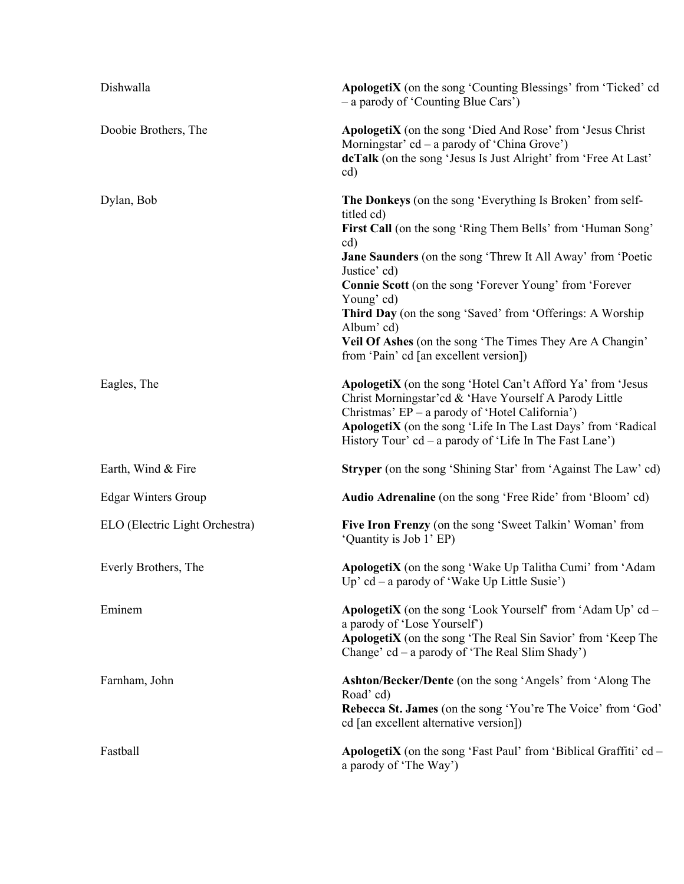| Dishwalla                      | ApologetiX (on the song 'Counting Blessings' from 'Ticked' cd<br>- a parody of 'Counting Blue Cars')                                                                                                                                                                                                                                                                                                                                                                                            |
|--------------------------------|-------------------------------------------------------------------------------------------------------------------------------------------------------------------------------------------------------------------------------------------------------------------------------------------------------------------------------------------------------------------------------------------------------------------------------------------------------------------------------------------------|
| Doobie Brothers, The           | ApologetiX (on the song 'Died And Rose' from 'Jesus Christ<br>Morningstar' $cd - a$ parody of 'China Grove')<br>dcTalk (on the song 'Jesus Is Just Alright' from 'Free At Last'<br>cd)                                                                                                                                                                                                                                                                                                          |
| Dylan, Bob                     | The Donkeys (on the song 'Everything Is Broken' from self-<br>titled cd)<br>First Call (on the song 'Ring Them Bells' from 'Human Song'<br>cd)<br><b>Jane Saunders</b> (on the song 'Threw It All Away' from 'Poetic<br>Justice' cd)<br>Connie Scott (on the song 'Forever Young' from 'Forever<br>Young' cd)<br>Third Day (on the song 'Saved' from 'Offerings: A Worship<br>Album' cd)<br>Veil Of Ashes (on the song 'The Times They Are A Changin'<br>from 'Pain' cd [an excellent version]) |
| Eagles, The                    | ApologetiX (on the song 'Hotel Can't Afford Ya' from 'Jesus<br>Christ Morningstar'cd & 'Have Yourself A Parody Little<br>Christmas' EP – a parody of 'Hotel California')<br>ApologetiX (on the song 'Life In The Last Days' from 'Radical<br>History Tour' cd – a parody of 'Life In The Fast Lane')                                                                                                                                                                                            |
| Earth, Wind & Fire             | <b>Stryper</b> (on the song 'Shining Star' from 'Against The Law' cd)                                                                                                                                                                                                                                                                                                                                                                                                                           |
| <b>Edgar Winters Group</b>     | Audio Adrenaline (on the song 'Free Ride' from 'Bloom' cd)                                                                                                                                                                                                                                                                                                                                                                                                                                      |
| ELO (Electric Light Orchestra) | Five Iron Frenzy (on the song 'Sweet Talkin' Woman' from<br>'Quantity is Job 1' EP)                                                                                                                                                                                                                                                                                                                                                                                                             |
| Everly Brothers, The           | ApologetiX (on the song 'Wake Up Talitha Cumi' from 'Adam<br>Up' $cd - a$ parody of 'Wake Up Little Susie')                                                                                                                                                                                                                                                                                                                                                                                     |
| Eminem                         | <b>ApologetiX</b> (on the song 'Look Yourself' from 'Adam $Up$ ' cd –<br>a parody of 'Lose Yourself')<br>ApologetiX (on the song 'The Real Sin Savior' from 'Keep The<br>Change' $cd - a$ parody of 'The Real Slim Shady')                                                                                                                                                                                                                                                                      |
| Farnham, John                  | Ashton/Becker/Dente (on the song 'Angels' from 'Along The<br>Road' cd)<br>Rebecca St. James (on the song 'You're The Voice' from 'God'<br>cd [an excellent alternative version])                                                                                                                                                                                                                                                                                                                |
| Fastball                       | ApologetiX (on the song 'Fast Paul' from 'Biblical Graffiti' cd -<br>a parody of 'The Way')                                                                                                                                                                                                                                                                                                                                                                                                     |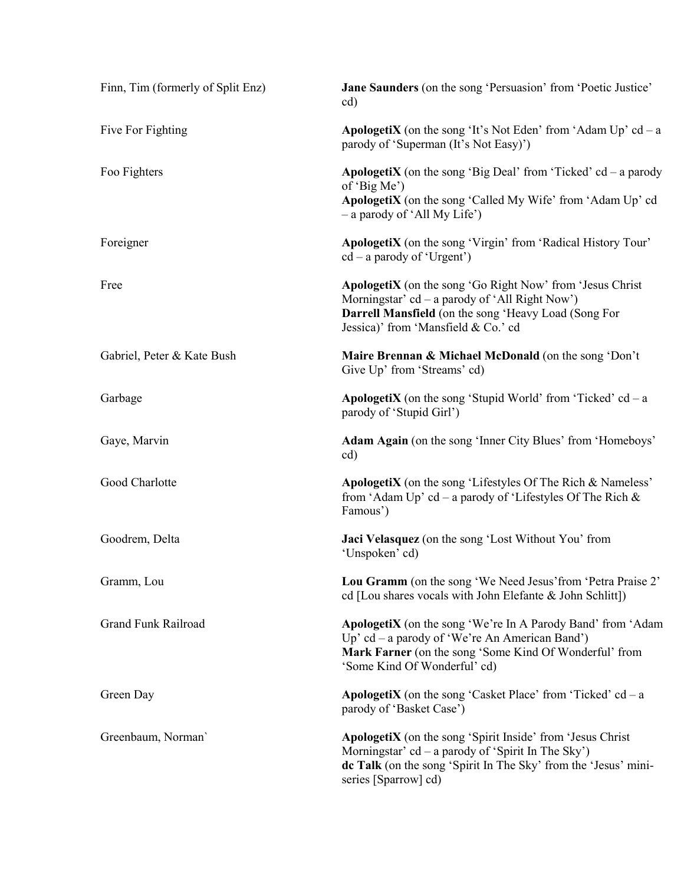| Finn, Tim (formerly of Split Enz) | Jane Saunders (on the song 'Persuasion' from 'Poetic Justice'<br>cd)                                                                                                                                          |
|-----------------------------------|---------------------------------------------------------------------------------------------------------------------------------------------------------------------------------------------------------------|
| Five For Fighting                 | <b>ApologetiX</b> (on the song 'It's Not Eden' from 'Adam Up' $cd - a$<br>parody of 'Superman (It's Not Easy)')                                                                                               |
| Foo Fighters                      | <b>ApologetiX</b> (on the song 'Big Deal' from 'Ticked' $cd - a$ parody<br>of 'Big Me')<br>ApologetiX (on the song 'Called My Wife' from 'Adam Up' cd<br>- a parody of 'All My Life')                         |
| Foreigner                         | ApologetiX (on the song 'Virgin' from 'Radical History Tour'<br>$cd - a$ parody of 'Urgent')                                                                                                                  |
| Free                              | ApologetiX (on the song 'Go Right Now' from 'Jesus Christ<br>Morningstar' cd – a parody of 'All Right Now')<br>Darrell Mansfield (on the song 'Heavy Load (Song For<br>Jessica)' from 'Mansfield & Co.' cd    |
| Gabriel, Peter & Kate Bush        | Maire Brennan & Michael McDonald (on the song 'Don't<br>Give Up' from 'Streams' cd)                                                                                                                           |
| Garbage                           | <b>ApologetiX</b> (on the song 'Stupid World' from 'Ticked' $cd - a$<br>parody of 'Stupid Girl')                                                                                                              |
| Gaye, Marvin                      | Adam Again (on the song 'Inner City Blues' from 'Homeboys'<br>cd)                                                                                                                                             |
| Good Charlotte                    | ApologetiX (on the song 'Lifestyles Of The Rich & Nameless'<br>from 'Adam Up' cd – a parody of 'Lifestyles Of The Rich $\&$<br>Famous')                                                                       |
| Goodrem, Delta                    | Jaci Velasquez (on the song 'Lost Without You' from<br>'Unspoken' cd)                                                                                                                                         |
| Gramm, Lou                        | Lou Gramm (on the song 'We Need Jesus' from 'Petra Praise 2'<br>cd [Lou shares vocals with John Elefante & John Schlitt])                                                                                     |
| Grand Funk Railroad               | ApologetiX (on the song 'We're In A Parody Band' from 'Adam<br>Up' $cd - a$ parody of 'We're An American Band')<br>Mark Farner (on the song 'Some Kind Of Wonderful' from<br>'Some Kind Of Wonderful' cd)     |
| Green Day                         | <b>ApologetiX</b> (on the song 'Casket Place' from 'Ticked' $cd - a$<br>parody of 'Basket Case')                                                                                                              |
| Greenbaum, Norman'                | ApologetiX (on the song 'Spirit Inside' from 'Jesus Christ<br>Morningstar' $cd - a$ parody of 'Spirit In The Sky')<br>dc Talk (on the song 'Spirit In The Sky' from the 'Jesus' mini-<br>series [Sparrow] cd) |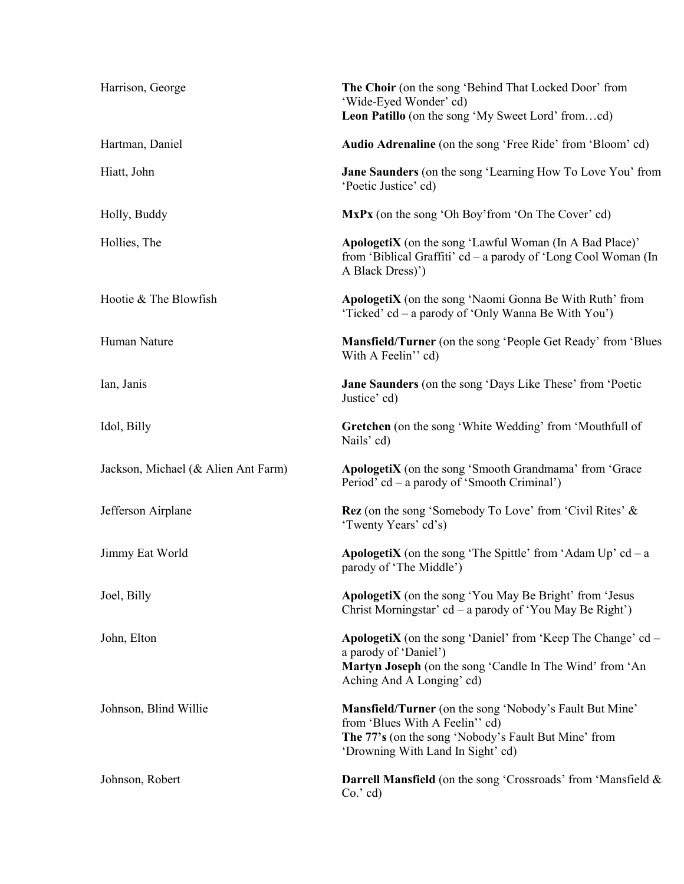| Harrison, George                    | The Choir (on the song 'Behind That Locked Door' from<br>'Wide-Eyed Wonder' cd)<br>Leon Patillo (on the song 'My Sweet Lord' fromcd)                                                           |
|-------------------------------------|------------------------------------------------------------------------------------------------------------------------------------------------------------------------------------------------|
| Hartman, Daniel                     | Audio Adrenaline (on the song 'Free Ride' from 'Bloom' cd)                                                                                                                                     |
| Hiatt, John                         | Jane Saunders (on the song 'Learning How To Love You' from<br>'Poetic Justice' cd)                                                                                                             |
| Holly, Buddy                        | MxPx (on the song 'Oh Boy' from 'On The Cover' cd)                                                                                                                                             |
| Hollies, The                        | ApologetiX (on the song 'Lawful Woman (In A Bad Place)'<br>from 'Biblical Graffiti' cd – a parody of 'Long Cool Woman (In<br>A Black Dress)')                                                  |
| Hootie & The Blowfish               | ApologetiX (on the song 'Naomi Gonna Be With Ruth' from<br>'Ticked' cd – a parody of 'Only Wanna Be With You')                                                                                 |
| Human Nature                        | Mansfield/Turner (on the song 'People Get Ready' from 'Blues<br>With A Feelin" cd)                                                                                                             |
| Ian, Janis                          | <b>Jane Saunders</b> (on the song 'Days Like These' from 'Poetic<br>Justice' cd)                                                                                                               |
| Idol, Billy                         | Gretchen (on the song 'White Wedding' from 'Mouthfull of<br>Nails' cd)                                                                                                                         |
| Jackson, Michael (& Alien Ant Farm) | ApologetiX (on the song 'Smooth Grandmama' from 'Grace<br>Period' cd – a parody of 'Smooth Criminal')                                                                                          |
| Jefferson Airplane                  | Rez (on the song 'Somebody To Love' from 'Civil Rites' &<br>'Twenty Years' cd's)                                                                                                               |
| Jimmy Eat World                     | <b>ApologetiX</b> (on the song 'The Spittle' from 'Adam Up' $cd - a$<br>parody of 'The Middle')                                                                                                |
| Joel, Billy                         | ApologetiX (on the song 'You May Be Bright' from 'Jesus<br>Christ Morningstar' cd – a parody of 'You May Be Right')                                                                            |
| John, Elton                         | <b>ApologetiX</b> (on the song 'Daniel' from 'Keep The Change' $cd$ –<br>a parody of 'Daniel')<br>Martyn Joseph (on the song 'Candle In The Wind' from 'An<br>Aching And A Longing' cd)        |
| Johnson, Blind Willie               | <b>Mansfield/Turner</b> (on the song 'Nobody's Fault But Mine'<br>from 'Blues With A Feelin'' cd)<br>The 77's (on the song 'Nobody's Fault But Mine' from<br>'Drowning With Land In Sight' cd) |
| Johnson, Robert                     | <b>Darrell Mansfield</b> (on the song 'Crossroads' from 'Mansfield &<br>$Co.'$ $cd)$                                                                                                           |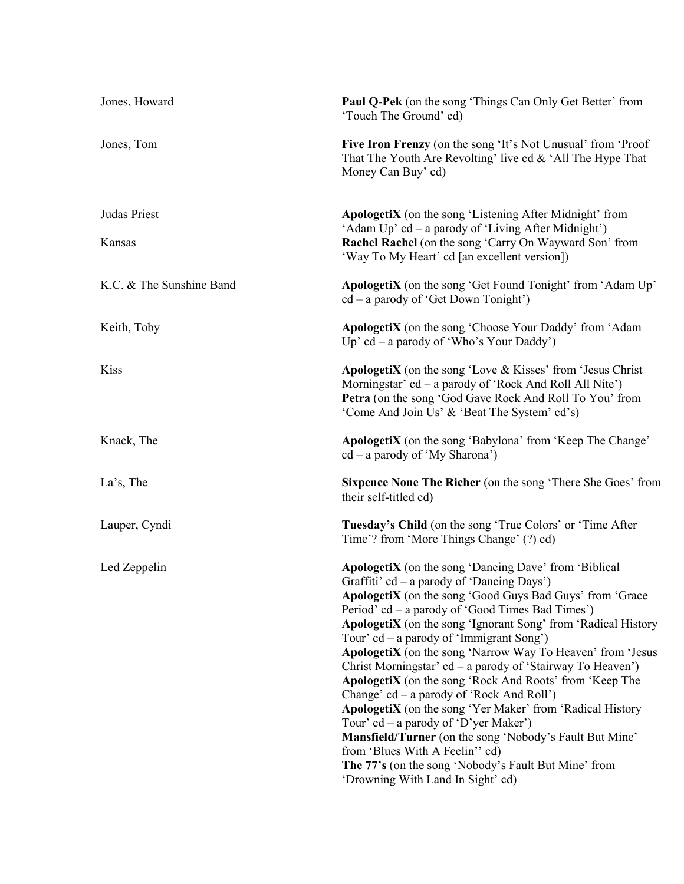| Jones, Howard            | Paul Q-Pek (on the song 'Things Can Only Get Better' from<br>'Touch The Ground' cd)                                                                                                                                                                                                                                                                                                                                                                                                                                                                                                                                                                                                                                                                                                                                                                                   |
|--------------------------|-----------------------------------------------------------------------------------------------------------------------------------------------------------------------------------------------------------------------------------------------------------------------------------------------------------------------------------------------------------------------------------------------------------------------------------------------------------------------------------------------------------------------------------------------------------------------------------------------------------------------------------------------------------------------------------------------------------------------------------------------------------------------------------------------------------------------------------------------------------------------|
| Jones, Tom               | Five Iron Frenzy (on the song 'It's Not Unusual' from 'Proof<br>That The Youth Are Revolting' live cd $&$ 'All The Hype That<br>Money Can Buy' cd)                                                                                                                                                                                                                                                                                                                                                                                                                                                                                                                                                                                                                                                                                                                    |
| Judas Priest<br>Kansas   | ApologetiX (on the song 'Listening After Midnight' from<br>'Adam Up' cd – a parody of 'Living After Midnight')<br>Rachel Rachel (on the song 'Carry On Wayward Son' from<br>'Way To My Heart' cd [an excellent version])                                                                                                                                                                                                                                                                                                                                                                                                                                                                                                                                                                                                                                              |
| K.C. & The Sunshine Band | ApologetiX (on the song 'Get Found Tonight' from 'Adam Up'<br>$cd - a$ parody of 'Get Down Tonight')                                                                                                                                                                                                                                                                                                                                                                                                                                                                                                                                                                                                                                                                                                                                                                  |
| Keith, Toby              | ApologetiX (on the song 'Choose Your Daddy' from 'Adam<br>Up' cd – a parody of 'Who's Your Daddy')                                                                                                                                                                                                                                                                                                                                                                                                                                                                                                                                                                                                                                                                                                                                                                    |
| <b>Kiss</b>              | ApologetiX (on the song 'Love & Kisses' from 'Jesus Christ<br>Morningstar' cd – a parody of 'Rock And Roll All Nite')<br>Petra (on the song 'God Gave Rock And Roll To You' from<br>'Come And Join Us' & 'Beat The System' cd's)                                                                                                                                                                                                                                                                                                                                                                                                                                                                                                                                                                                                                                      |
| Knack, The               | ApologetiX (on the song 'Babylona' from 'Keep The Change'<br>$cd - a$ parody of 'My Sharona')                                                                                                                                                                                                                                                                                                                                                                                                                                                                                                                                                                                                                                                                                                                                                                         |
| La's, The                | <b>Sixpence None The Richer (on the song 'There She Goes' from</b><br>their self-titled cd)                                                                                                                                                                                                                                                                                                                                                                                                                                                                                                                                                                                                                                                                                                                                                                           |
| Lauper, Cyndi            | Tuesday's Child (on the song 'True Colors' or 'Time After<br>Time'? from 'More Things Change' (?) cd)                                                                                                                                                                                                                                                                                                                                                                                                                                                                                                                                                                                                                                                                                                                                                                 |
| Led Zeppelin             | ApologetiX (on the song 'Dancing Dave' from 'Biblical<br>Graffiti' cd – a parody of 'Dancing Days')<br>ApologetiX (on the song 'Good Guys Bad Guys' from 'Grace<br>Period' cd – a parody of 'Good Times Bad Times')<br>ApologetiX (on the song 'Ignorant Song' from 'Radical History<br>Tour' cd – a parody of 'Immigrant Song')<br>ApologetiX (on the song 'Narrow Way To Heaven' from 'Jesus<br>Christ Morningstar' cd – a parody of 'Stairway To Heaven')<br>ApologetiX (on the song 'Rock And Roots' from 'Keep The<br>Change' cd – a parody of 'Rock And Roll')<br>ApologetiX (on the song 'Yer Maker' from 'Radical History<br>Tour' cd – a parody of 'D'yer Maker')<br>Mansfield/Turner (on the song 'Nobody's Fault But Mine'<br>from 'Blues With A Feelin'' cd)<br>The 77's (on the song 'Nobody's Fault But Mine' from<br>'Drowning With Land In Sight' cd) |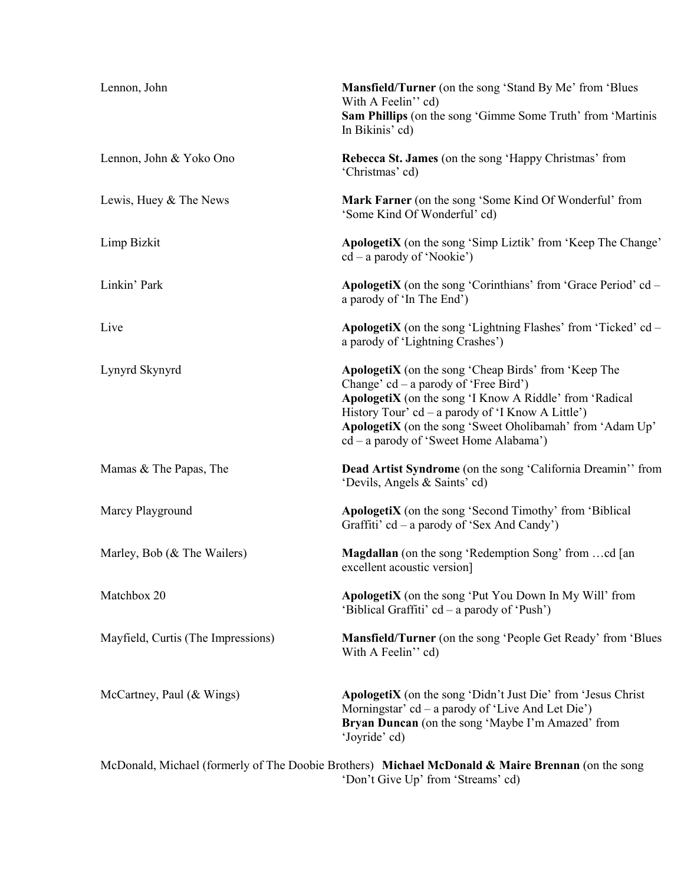| Lennon, John                       | <b>Mansfield/Turner</b> (on the song 'Stand By Me' from 'Blues<br>With A Feelin" cd)<br>Sam Phillips (on the song 'Gimme Some Truth' from 'Martinis'<br>In Bikinis' cd)                                                                                                                                                  |
|------------------------------------|--------------------------------------------------------------------------------------------------------------------------------------------------------------------------------------------------------------------------------------------------------------------------------------------------------------------------|
| Lennon, John & Yoko Ono            | Rebecca St. James (on the song 'Happy Christmas' from<br>'Christmas' cd)                                                                                                                                                                                                                                                 |
| Lewis, Huey & The News             | Mark Farner (on the song 'Some Kind Of Wonderful' from<br>'Some Kind Of Wonderful' cd)                                                                                                                                                                                                                                   |
| Limp Bizkit                        | ApologetiX (on the song 'Simp Liztik' from 'Keep The Change'<br>$cd - a$ parody of 'Nookie')                                                                                                                                                                                                                             |
| Linkin' Park                       | <b>ApologetiX</b> (on the song 'Corinthians' from 'Grace Period' $cd$ –<br>a parody of 'In The End')                                                                                                                                                                                                                     |
| Live                               | ApologetiX (on the song 'Lightning Flashes' from 'Ticked' $cd$ –<br>a parody of 'Lightning Crashes')                                                                                                                                                                                                                     |
| Lynyrd Skynyrd                     | ApologetiX (on the song 'Cheap Birds' from 'Keep The<br>Change' $cd - a$ parody of 'Free Bird')<br>ApologetiX (on the song 'I Know A Riddle' from 'Radical<br>History Tour' $cd - a$ parody of 'I Know A Little')<br>ApologetiX (on the song 'Sweet Oholibamah' from 'Adam Up'<br>cd - a parody of 'Sweet Home Alabama') |
| Mamas & The Papas, The             | Dead Artist Syndrome (on the song 'California Dreamin'' from<br>'Devils, Angels & Saints' cd)                                                                                                                                                                                                                            |
| Marcy Playground                   | ApologetiX (on the song 'Second Timothy' from 'Biblical<br>Graffiti' cd – a parody of 'Sex And Candy')                                                                                                                                                                                                                   |
| Marley, Bob (& The Wailers)        | Magdallan (on the song 'Redemption Song' from cd [an]<br>excellent acoustic version]                                                                                                                                                                                                                                     |
| Matchbox 20                        | ApologetiX (on the song 'Put You Down In My Will' from<br>'Biblical Graffiti' cd – a parody of 'Push')                                                                                                                                                                                                                   |
| Mayfield, Curtis (The Impressions) | Mansfield/Turner (on the song 'People Get Ready' from 'Blues<br>With A Feelin" cd)                                                                                                                                                                                                                                       |
| McCartney, Paul $(\&$ Wings)       | ApologetiX (on the song 'Didn't Just Die' from 'Jesus Christ<br>Morningstar' cd – a parody of 'Live And Let Die')<br>Bryan Duncan (on the song 'Maybe I'm Amazed' from<br>'Joyride' cd)                                                                                                                                  |
|                                    | McDonald, Michael (formerly of The Doobie Brothers) Michael McDonald & Maire Brennan (on the song<br>'Don't Give Up' from 'Streams' cd)                                                                                                                                                                                  |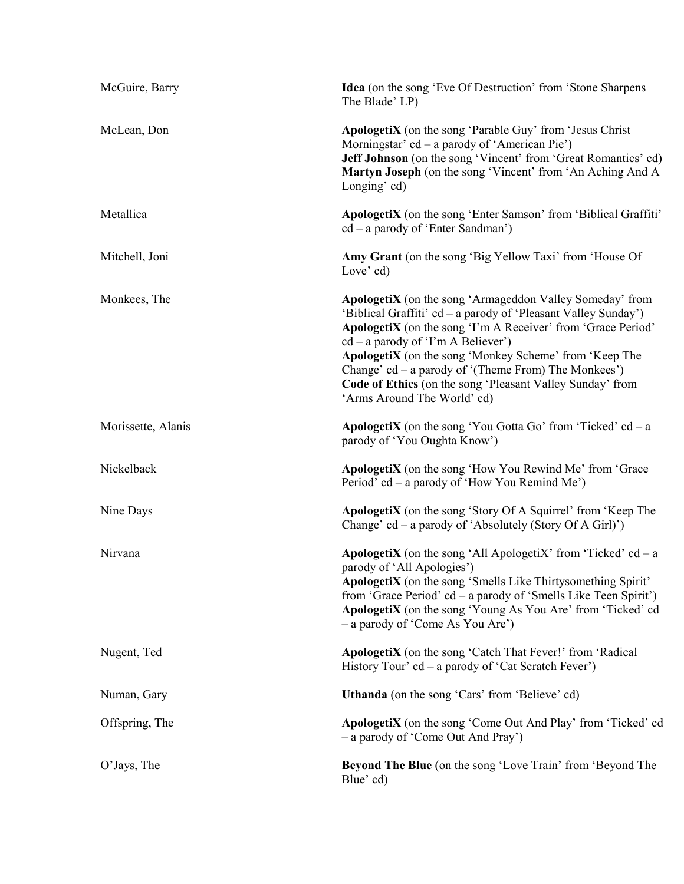| McGuire, Barry     | <b>Idea</b> (on the song 'Eve Of Destruction' from 'Stone Sharpens'<br>The Blade' LP)                                                                                                                                                                                                                                                                                                                                                            |
|--------------------|--------------------------------------------------------------------------------------------------------------------------------------------------------------------------------------------------------------------------------------------------------------------------------------------------------------------------------------------------------------------------------------------------------------------------------------------------|
| McLean, Don        | ApologetiX (on the song 'Parable Guy' from 'Jesus Christ<br>Morningstar' cd – a parody of 'American Pie')<br>Jeff Johnson (on the song 'Vincent' from 'Great Romantics' cd)<br>Martyn Joseph (on the song 'Vincent' from 'An Aching And A<br>Longing' cd)                                                                                                                                                                                        |
| Metallica          | ApologetiX (on the song 'Enter Samson' from 'Biblical Graffiti'<br>$cd - a$ parody of 'Enter Sandman')                                                                                                                                                                                                                                                                                                                                           |
| Mitchell, Joni     | Amy Grant (on the song 'Big Yellow Taxi' from 'House Of<br>Love' cd)                                                                                                                                                                                                                                                                                                                                                                             |
| Monkees, The       | ApologetiX (on the song 'Armageddon Valley Someday' from<br>'Biblical Graffiti' cd – a parody of 'Pleasant Valley Sunday')<br>ApologetiX (on the song 'I'm A Receiver' from 'Grace Period'<br>$cd - a$ parody of 'I'm A Believer')<br>ApologetiX (on the song 'Monkey Scheme' from 'Keep The<br>Change' cd – a parody of '(Theme From) The Monkees')<br>Code of Ethics (on the song 'Pleasant Valley Sunday' from<br>'Arms Around The World' cd) |
| Morissette, Alanis | <b>ApologetiX</b> (on the song 'You Gotta Go' from 'Ticked' $cd - a$<br>parody of 'You Oughta Know')                                                                                                                                                                                                                                                                                                                                             |
| Nickelback         | ApologetiX (on the song 'How You Rewind Me' from 'Grace<br>Period' cd – a parody of 'How You Remind Me')                                                                                                                                                                                                                                                                                                                                         |
| Nine Days          | ApologetiX (on the song 'Story Of A Squirrel' from 'Keep The<br>Change' cd – a parody of 'Absolutely (Story Of A Girl)')                                                                                                                                                                                                                                                                                                                         |
| Nirvana            | <b>ApologetiX</b> (on the song 'All ApologetiX' from 'Ticked' $cd - a$<br>parody of 'All Apologies')<br>ApologetiX (on the song 'Smells Like Thirtysomething Spirit'<br>from 'Grace Period' cd – a parody of 'Smells Like Teen Spirit')<br>ApologetiX (on the song 'Young As You Are' from 'Ticked' cd<br>- a parody of 'Come As You Are')                                                                                                       |
| Nugent, Ted        | ApologetiX (on the song 'Catch That Fever!' from 'Radical<br>History Tour' $cd - a$ parody of 'Cat Scratch Fever')                                                                                                                                                                                                                                                                                                                               |
| Numan, Gary        | <b>Uthanda</b> (on the song 'Cars' from 'Believe' cd)                                                                                                                                                                                                                                                                                                                                                                                            |
| Offspring, The     | ApologetiX (on the song 'Come Out And Play' from 'Ticked' cd<br>- a parody of 'Come Out And Pray')                                                                                                                                                                                                                                                                                                                                               |
| O'Jays, The        | <b>Beyond The Blue</b> (on the song 'Love Train' from 'Beyond The<br>Blue' cd)                                                                                                                                                                                                                                                                                                                                                                   |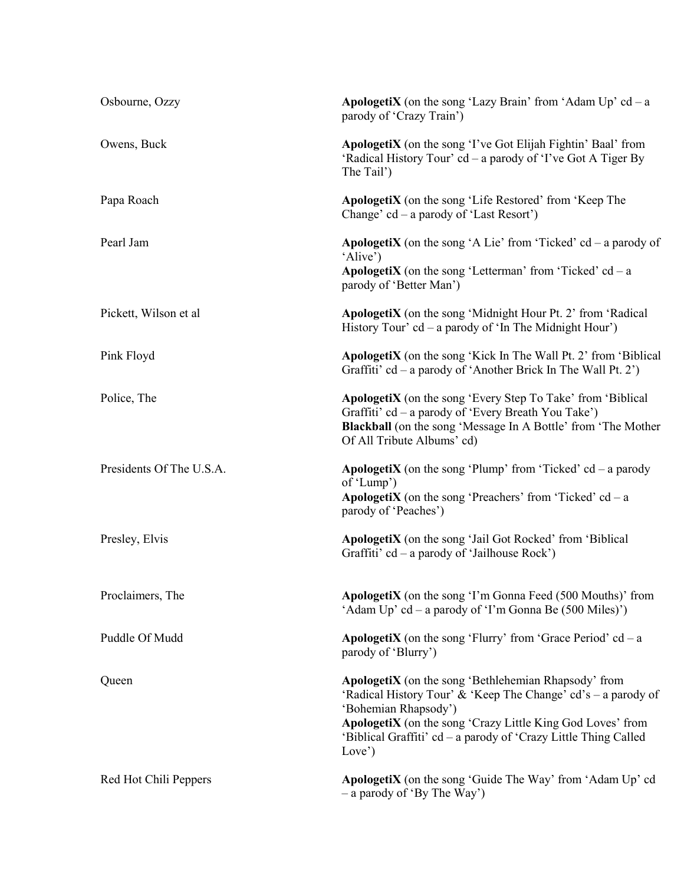| Osbourne, Ozzy           | <b>ApologetiX</b> (on the song 'Lazy Brain' from 'Adam Up' $cd - a$<br>parody of 'Crazy Train')                                                                                                                                                                                             |
|--------------------------|---------------------------------------------------------------------------------------------------------------------------------------------------------------------------------------------------------------------------------------------------------------------------------------------|
| Owens, Buck              | ApologetiX (on the song 'I've Got Elijah Fightin' Baal' from<br>'Radical History Tour' cd – a parody of 'I've Got A Tiger By<br>The Tail')                                                                                                                                                  |
| Papa Roach               | ApologetiX (on the song 'Life Restored' from 'Keep The<br>Change' $cd - a$ parody of 'Last Resort')                                                                                                                                                                                         |
| Pearl Jam                | <b>ApologetiX</b> (on the song 'A Lie' from 'Ticked' $cd - a$ parody of<br>'Alive')<br>ApologetiX (on the song 'Letterman' from 'Ticked' $cd - a$<br>parody of 'Better Man')                                                                                                                |
| Pickett, Wilson et al    | ApologetiX (on the song 'Midnight Hour Pt. 2' from 'Radical<br>History Tour' cd – a parody of 'In The Midnight Hour')                                                                                                                                                                       |
| Pink Floyd               | ApologetiX (on the song 'Kick In The Wall Pt. 2' from 'Biblical<br>Graffiti' cd – a parody of 'Another Brick In The Wall Pt. 2')                                                                                                                                                            |
| Police, The              | ApologetiX (on the song 'Every Step To Take' from 'Biblical<br>Graffiti' cd – a parody of 'Every Breath You Take')<br>Blackball (on the song 'Message In A Bottle' from 'The Mother<br>Of All Tribute Albums' cd)                                                                           |
| Presidents Of The U.S.A. | <b>ApologetiX</b> (on the song 'Plump' from 'Ticked' $cd - a$ parody<br>of 'Lump')<br>ApologetiX (on the song 'Preachers' from 'Ticked' $cd - a$<br>parody of 'Peaches')                                                                                                                    |
| Presley, Elvis           | ApologetiX (on the song 'Jail Got Rocked' from 'Biblical<br>Graffiti' cd – a parody of 'Jailhouse Rock')                                                                                                                                                                                    |
| Proclaimers, The         | ApologetiX (on the song 'I'm Gonna Feed (500 Mouths)' from<br>'Adam Up' cd – a parody of 'I'm Gonna Be (500 Miles)')                                                                                                                                                                        |
| Puddle Of Mudd           | <b>ApologetiX</b> (on the song 'Flurry' from 'Grace Period' $cd - a$<br>parody of 'Blurry')                                                                                                                                                                                                 |
| Queen                    | ApologetiX (on the song 'Bethlehemian Rhapsody' from<br>'Radical History Tour' & 'Keep The Change' cd's – a parody of<br>'Bohemian Rhapsody')<br>ApologetiX (on the song 'Crazy Little King God Loves' from<br>'Biblical Graffiti' cd – a parody of 'Crazy Little Thing Called<br>$Love'$ ) |
| Red Hot Chili Peppers    | ApologetiX (on the song 'Guide The Way' from 'Adam Up' cd<br>$-$ a parody of 'By The Way')                                                                                                                                                                                                  |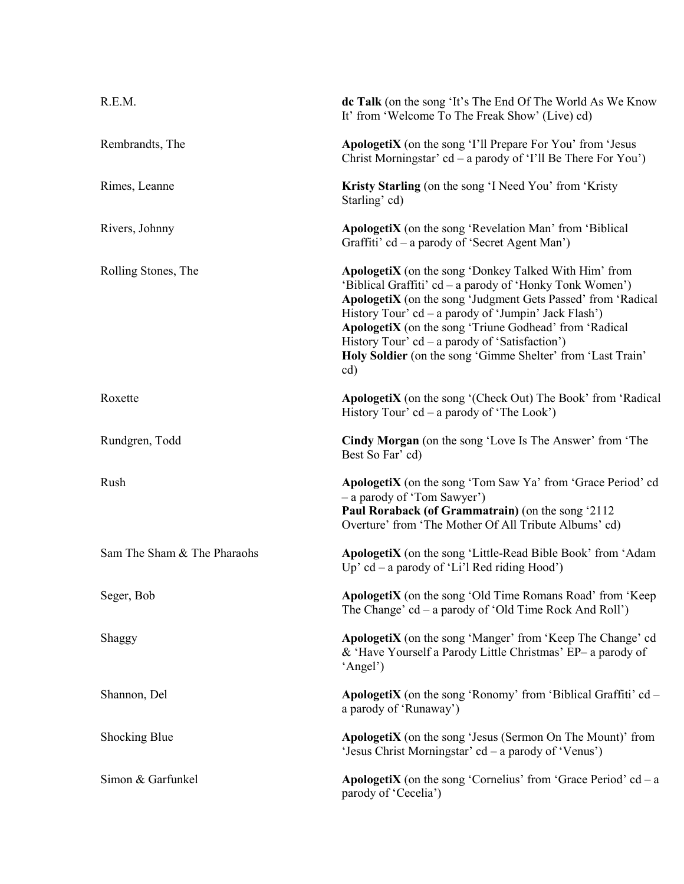| R.E.M.                      | de Talk (on the song 'It's The End Of The World As We Know<br>It' from 'Welcome To The Freak Show' (Live) cd)                                                                                                                                                                                                                                                                                                                 |
|-----------------------------|-------------------------------------------------------------------------------------------------------------------------------------------------------------------------------------------------------------------------------------------------------------------------------------------------------------------------------------------------------------------------------------------------------------------------------|
| Rembrandts, The             | ApologetiX (on the song 'I'll Prepare For You' from 'Jesus<br>Christ Morningstar' cd – a parody of 'I'll Be There For You')                                                                                                                                                                                                                                                                                                   |
| Rimes, Leanne               | Kristy Starling (on the song 'I Need You' from 'Kristy<br>Starling' cd)                                                                                                                                                                                                                                                                                                                                                       |
| Rivers, Johnny              | ApologetiX (on the song 'Revelation Man' from 'Biblical<br>Graffiti' cd – a parody of 'Secret Agent Man')                                                                                                                                                                                                                                                                                                                     |
| Rolling Stones, The         | ApologetiX (on the song 'Donkey Talked With Him' from<br>'Biblical Graffiti' cd – a parody of 'Honky Tonk Women')<br>ApologetiX (on the song 'Judgment Gets Passed' from 'Radical<br>History Tour' cd – a parody of 'Jumpin' Jack Flash')<br>ApologetiX (on the song 'Triune Godhead' from 'Radical<br>History Tour' $cd - a$ parody of 'Satisfaction')<br>Holy Soldier (on the song 'Gimme Shelter' from 'Last Train'<br>cd) |
| Roxette                     | ApologetiX (on the song '(Check Out) The Book' from 'Radical<br>History Tour' $cd - a$ parody of 'The Look')                                                                                                                                                                                                                                                                                                                  |
| Rundgren, Todd              | Cindy Morgan (on the song 'Love Is The Answer' from 'The<br>Best So Far' cd)                                                                                                                                                                                                                                                                                                                                                  |
| Rush                        | ApologetiX (on the song 'Tom Saw Ya' from 'Grace Period' cd<br>- a parody of 'Tom Sawyer')<br>Paul Roraback (of Grammatrain) (on the song '2112<br>Overture' from 'The Mother Of All Tribute Albums' cd)                                                                                                                                                                                                                      |
| Sam The Sham & The Pharaohs | ApologetiX (on the song 'Little-Read Bible Book' from 'Adam<br>Up' $cd - a$ parody of 'Li'l Red riding Hood')                                                                                                                                                                                                                                                                                                                 |
| Seger, Bob                  | ApologetiX (on the song 'Old Time Romans Road' from 'Keep<br>The Change' cd – a parody of 'Old Time Rock And Roll')                                                                                                                                                                                                                                                                                                           |
| Shaggy                      | ApologetiX (on the song 'Manger' from 'Keep The Change' cd<br>& 'Have Yourself a Parody Little Christmas' EP- a parody of<br>'Angel')                                                                                                                                                                                                                                                                                         |
| Shannon, Del                | ApologetiX (on the song 'Ronomy' from 'Biblical Graffiti' $cd$ –<br>a parody of 'Runaway')                                                                                                                                                                                                                                                                                                                                    |
| <b>Shocking Blue</b>        | ApologetiX (on the song 'Jesus (Sermon On The Mount)' from<br>'Jesus Christ Morningstar' cd – a parody of 'Venus')                                                                                                                                                                                                                                                                                                            |
| Simon & Garfunkel           | <b>ApologetiX</b> (on the song 'Cornelius' from 'Grace Period' $cd - a$<br>parody of 'Cecelia')                                                                                                                                                                                                                                                                                                                               |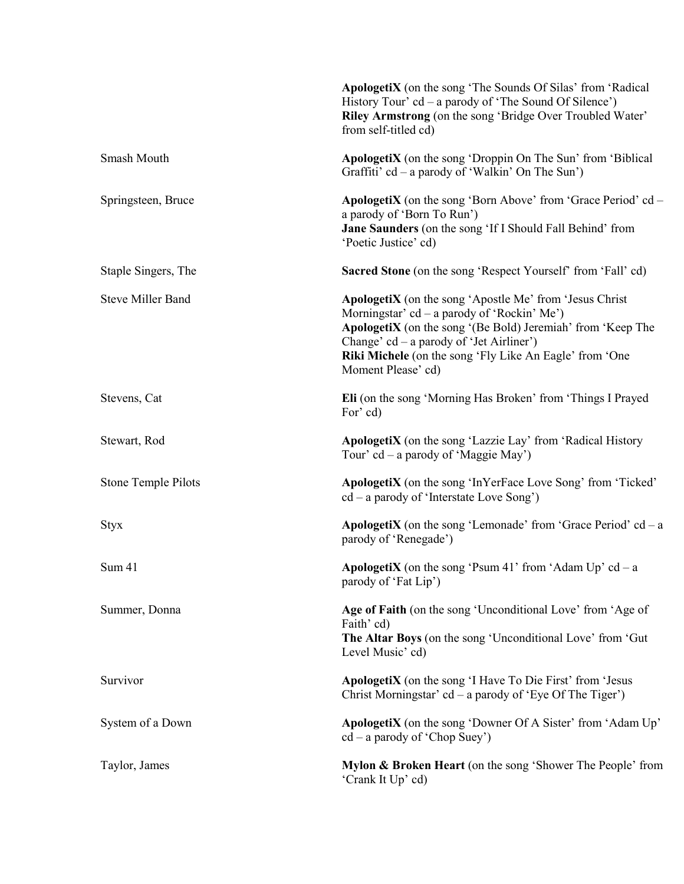|                            | ApologetiX (on the song 'The Sounds Of Silas' from 'Radical<br>History Tour' cd – a parody of 'The Sound Of Silence')<br>Riley Armstrong (on the song 'Bridge Over Troubled Water'<br>from self-titled cd)                                                                                           |
|----------------------------|------------------------------------------------------------------------------------------------------------------------------------------------------------------------------------------------------------------------------------------------------------------------------------------------------|
| Smash Mouth                | ApologetiX (on the song 'Droppin On The Sun' from 'Biblical<br>Graffiti' $cd - a$ parody of 'Walkin' On The Sun')                                                                                                                                                                                    |
| Springsteen, Bruce         | ApologetiX (on the song 'Born Above' from 'Grace Period' $cd$ –<br>a parody of 'Born To Run')<br>Jane Saunders (on the song 'If I Should Fall Behind' from<br>'Poetic Justice' cd)                                                                                                                   |
| Staple Singers, The        | <b>Sacred Stone</b> (on the song 'Respect Yourself' from 'Fall' cd)                                                                                                                                                                                                                                  |
| <b>Steve Miller Band</b>   | ApologetiX (on the song 'Apostle Me' from 'Jesus Christ<br>Morningstar' $cd - a$ parody of 'Rockin' Me')<br>ApologetiX (on the song '(Be Bold) Jeremiah' from 'Keep The<br>Change' cd – a parody of 'Jet Airliner')<br>Riki Michele (on the song 'Fly Like An Eagle' from 'One<br>Moment Please' cd) |
| Stevens, Cat               | Eli (on the song 'Morning Has Broken' from 'Things I Prayed<br>For' cd)                                                                                                                                                                                                                              |
| Stewart, Rod               | ApologetiX (on the song 'Lazzie Lay' from 'Radical History<br>Tour' cd – a parody of 'Maggie May')                                                                                                                                                                                                   |
| <b>Stone Temple Pilots</b> | ApologetiX (on the song 'InYerFace Love Song' from 'Ticked'<br>$cd - a$ parody of 'Interstate Love Song')                                                                                                                                                                                            |
| <b>Styx</b>                | <b>ApologetiX</b> (on the song 'Lemonade' from 'Grace Period' $cd - a$<br>parody of 'Renegade')                                                                                                                                                                                                      |
| Sum 41                     | ApologetiX (on the song 'Psum 41' from 'Adam Up' $cd - a$<br>parody of 'Fat Lip')                                                                                                                                                                                                                    |
| Summer, Donna              | Age of Faith (on the song 'Unconditional Love' from 'Age of<br>Faith' cd)<br>The Altar Boys (on the song 'Unconditional Love' from 'Gut<br>Level Music' cd)                                                                                                                                          |
| Survivor                   | <b>ApologetiX</b> (on the song 'I Have To Die First' from 'Jesus<br>Christ Morningstar' $cd - a$ parody of 'Eye Of The Tiger')                                                                                                                                                                       |
| System of a Down           | ApologetiX (on the song 'Downer Of A Sister' from 'Adam Up'<br>$cd - a$ parody of 'Chop Suey')                                                                                                                                                                                                       |
| Taylor, James              | Mylon & Broken Heart (on the song 'Shower The People' from<br>'Crank It Up' cd)                                                                                                                                                                                                                      |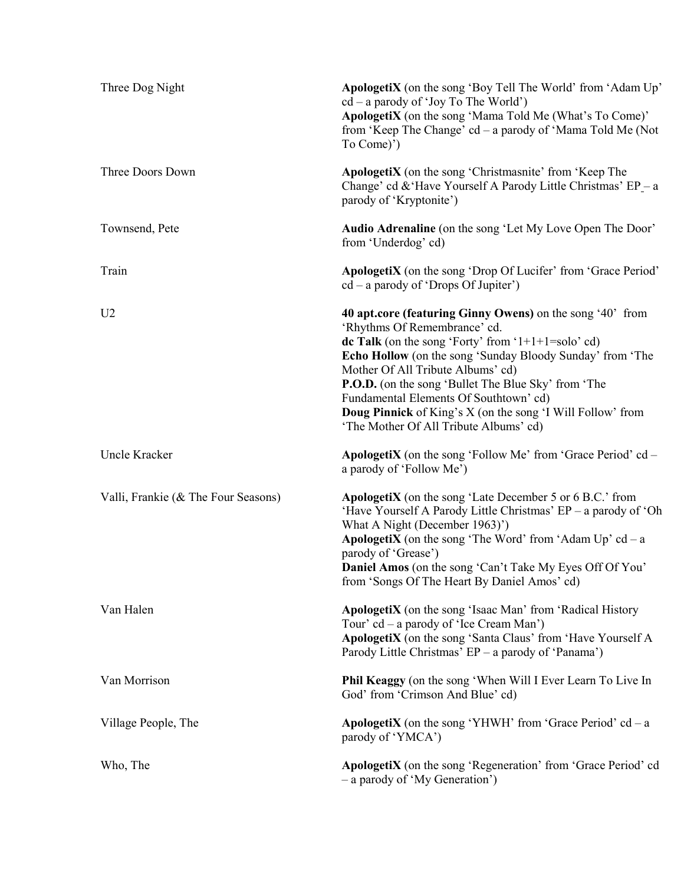| Three Dog Night                     | ApologetiX (on the song 'Boy Tell The World' from 'Adam Up'<br>$cd - a$ parody of 'Joy To The World')<br>ApologetiX (on the song 'Mama Told Me (What's To Come)'<br>from 'Keep The Change' cd – a parody of 'Mama Told Me (Not<br>To Come)')                                                                                                                                                                                                                                 |
|-------------------------------------|------------------------------------------------------------------------------------------------------------------------------------------------------------------------------------------------------------------------------------------------------------------------------------------------------------------------------------------------------------------------------------------------------------------------------------------------------------------------------|
| Three Doors Down                    | ApologetiX (on the song 'Christmasnite' from 'Keep The<br>Change' cd & 'Have Yourself A Parody Little Christmas' EP - a<br>parody of 'Kryptonite')                                                                                                                                                                                                                                                                                                                           |
| Townsend, Pete                      | Audio Adrenaline (on the song 'Let My Love Open The Door'<br>from 'Underdog' cd)                                                                                                                                                                                                                                                                                                                                                                                             |
| Train                               | ApologetiX (on the song 'Drop Of Lucifer' from 'Grace Period'<br>$cd - a$ parody of 'Drops Of Jupiter')                                                                                                                                                                                                                                                                                                                                                                      |
| U <sub>2</sub>                      | 40 apt.core (featuring Ginny Owens) on the song '40' from<br>'Rhythms Of Remembrance' cd.<br>dc Talk (on the song 'Forty' from ' $1+1+1$ =solo' cd)<br>Echo Hollow (on the song 'Sunday Bloody Sunday' from 'The<br>Mother Of All Tribute Albums' cd)<br><b>P.O.D.</b> (on the song 'Bullet The Blue Sky' from 'The<br>Fundamental Elements Of Southtown' cd)<br><b>Doug Pinnick</b> of King's X (on the song 'I Will Follow' from<br>'The Mother Of All Tribute Albums' cd) |
| Uncle Kracker                       | ApologetiX (on the song 'Follow Me' from 'Grace Period' cd -<br>a parody of 'Follow Me')                                                                                                                                                                                                                                                                                                                                                                                     |
| Valli, Frankie (& The Four Seasons) | ApologetiX (on the song 'Late December 5 or 6 B.C.' from<br>'Have Yourself A Parody Little Christmas' EP – a parody of 'Oh<br>What A Night (December 1963)')<br>ApologetiX (on the song 'The Word' from 'Adam Up' $cd - a$<br>parody of 'Grease')<br>Daniel Amos (on the song 'Can't Take My Eyes Off Of You'<br>from 'Songs Of The Heart By Daniel Amos' cd)                                                                                                                |
| Van Halen                           | ApologetiX (on the song 'Isaac Man' from 'Radical History<br>Tour' cd – a parody of 'Ice Cream Man')<br>ApologetiX (on the song 'Santa Claus' from 'Have Yourself A<br>Parody Little Christmas' EP – a parody of 'Panama')                                                                                                                                                                                                                                                   |
| Van Morrison                        | Phil Keaggy (on the song 'When Will I Ever Learn To Live In<br>God' from 'Crimson And Blue' cd)                                                                                                                                                                                                                                                                                                                                                                              |
| Village People, The                 | <b>ApologetiX</b> (on the song 'YHWH' from 'Grace Period' $cd - a$<br>parody of 'YMCA')                                                                                                                                                                                                                                                                                                                                                                                      |
| Who, The                            | ApologetiX (on the song 'Regeneration' from 'Grace Period' cd<br>- a parody of 'My Generation')                                                                                                                                                                                                                                                                                                                                                                              |